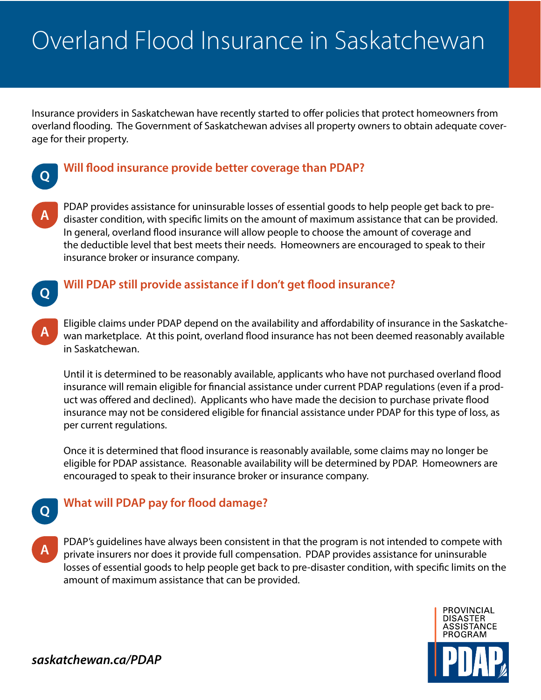# Overland Flood Insurance in Saskatchewan

Insurance providers in Saskatchewan have recently started to offer policies that protect homeowners from overland flooding. The Government of Saskatchewan advises all property owners to obtain adequate coverage for their property.



## **Will flood insurance provide better coverage than PDAP?**

**A**

PDAP provides assistance for uninsurable losses of essential goods to help people get back to predisaster condition, with specific limits on the amount of maximum assistance that can be provided. In general, overland flood insurance will allow people to choose the amount of coverage and the deductible level that best meets their needs. Homeowners are encouraged to speak to their insurance broker or insurance company.



**A**

**Q**

# **Will PDAP still provide assistance if I don't get flood insurance?**

Eligible claims under PDAP depend on the availability and affordability of insurance in the Saskatchewan marketplace. At this point, overland flood insurance has not been deemed reasonably available in Saskatchewan.

Until it is determined to be reasonably available, applicants who have not purchased overland flood insurance will remain eligible for financial assistance under current PDAP regulations (even if a product was offered and declined). Applicants who have made the decision to purchase private flood insurance may not be considered eligible for financial assistance under PDAP for this type of loss, as per current regulations.

Once it is determined that flood insurance is reasonably available, some claims may no longer be eligible for PDAP assistance. Reasonable availability will be determined by PDAP. Homeowners are encouraged to speak to their insurance broker or insurance company.

# **What will PDAP pay for flood damage?**

PDAP's guidelines have always been consistent in that the program is not intended to compete with private insurers nor does it provide full compensation. PDAP provides assistance for uninsurable losses of essential goods to help people get back to pre-disaster condition, with specific limits on the amount of maximum assistance that can be provided. **A**



*saskatchewan.ca/PDAP*